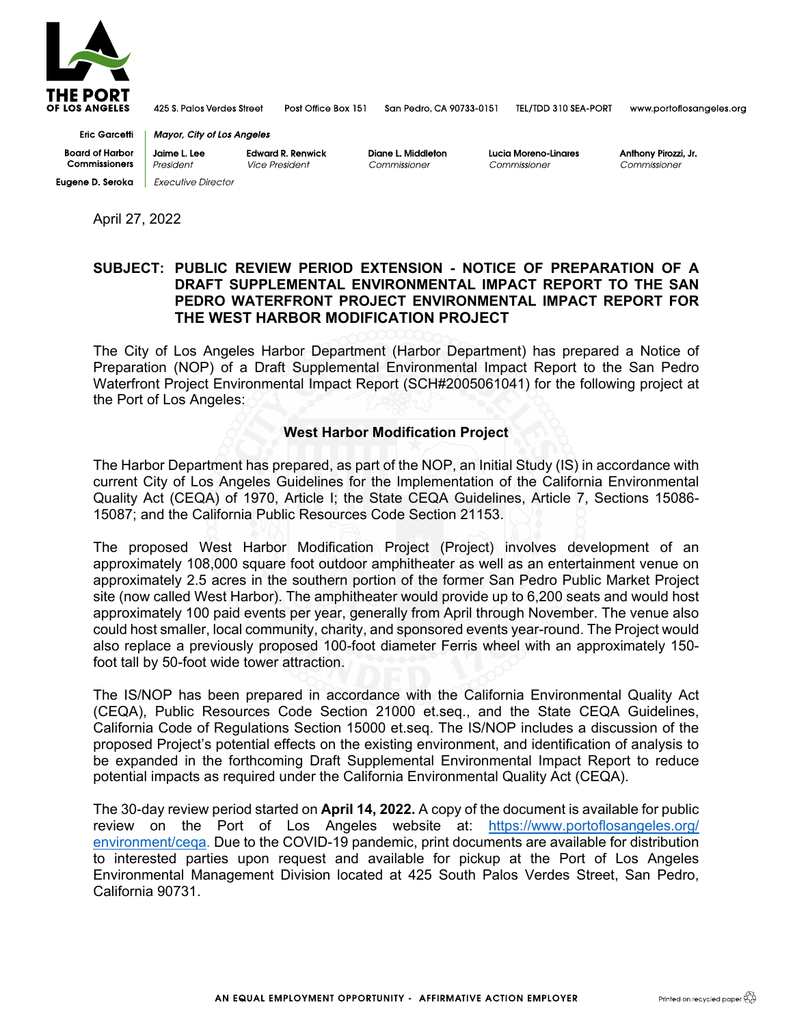

425 S. Palos Verdes Street Post Office Box 151

San Pedro, CA 90733-0151 TEL/TDD 310 SEA-PORT

www.portoflosangeles.org

**Eric Garcetti Board of Harbor** Commissioners **Eugene D. Seroka** | Executive Director

**Mayor, City of Los Angeles** Jaime L. Lee **Edward R. Renwick** President

Vice President

Diane L. Middleton Commissioner

Lucia Moreno-Linares Commissioner

Anthony Pirozzi, Jr Commissioner

April 27, 2022

## **SUBJECT: PUBLIC REVIEW PERIOD EXTENSION - NOTICE OF PREPARATION OF A DRAFT SUPPLEMENTAL ENVIRONMENTAL IMPACT REPORT TO THE SAN PEDRO WATERFRONT PROJECT ENVIRONMENTAL IMPACT REPORT FOR THE WEST HARBOR MODIFICATION PROJECT**

The City of Los Angeles Harbor Department (Harbor Department) has prepared a Notice of Preparation (NOP) of a Draft Supplemental Environmental Impact Report to the San Pedro Waterfront Project Environmental Impact Report (SCH#2005061041) for the following project at the Port of Los Angeles:

## **West Harbor Modification Project**

The Harbor Department has prepared, as part of the NOP, an Initial Study (IS) in accordance with current City of Los Angeles Guidelines for the Implementation of the California Environmental Quality Act (CEQA) of 1970, Article I; the State CEQA Guidelines, Article 7, Sections 15086- 15087; and the California Public Resources Code Section 21153.

The proposed West Harbor Modification Project (Project) involves development of an approximately 108,000 square foot outdoor amphitheater as well as an entertainment venue on approximately 2.5 acres in the southern portion of the former San Pedro Public Market Project site (now called West Harbor). The amphitheater would provide up to 6,200 seats and would host approximately 100 paid events per year, generally from April through November. The venue also could host smaller, local community, charity, and sponsored events year-round. The Project would also replace a previously proposed 100-foot diameter Ferris wheel with an approximately 150 foot tall by 50-foot wide tower attraction.

The IS/NOP has been prepared in accordance with the California Environmental Quality Act (CEQA), Public Resources Code Section 21000 et.seq., and the State CEQA Guidelines, California Code of Regulations Section 15000 et.seq. The IS/NOP includes a discussion of the proposed Project's potential effects on the existing environment, and identification of analysis to be expanded in the forthcoming Draft Supplemental Environmental Impact Report to reduce potential impacts as required under the California Environmental Quality Act (CEQA).

The 30-day review period started on **April 14, 2022.** A copy of the document is available for public review on the Port of Los Angeles website at: [https://www.portoflosangeles.org/](https://www.portoflosangeles.org/%E2%80%8Cenvironment/ceqa) [environment/ceqa.](https://www.portoflosangeles.org/%E2%80%8Cenvironment/ceqa) Due to the COVID-19 pandemic, print documents are available for distribution to interested parties upon request and available for pickup at the Port of Los Angeles Environmental Management Division located at 425 South Palos Verdes Street, San Pedro, California 90731.